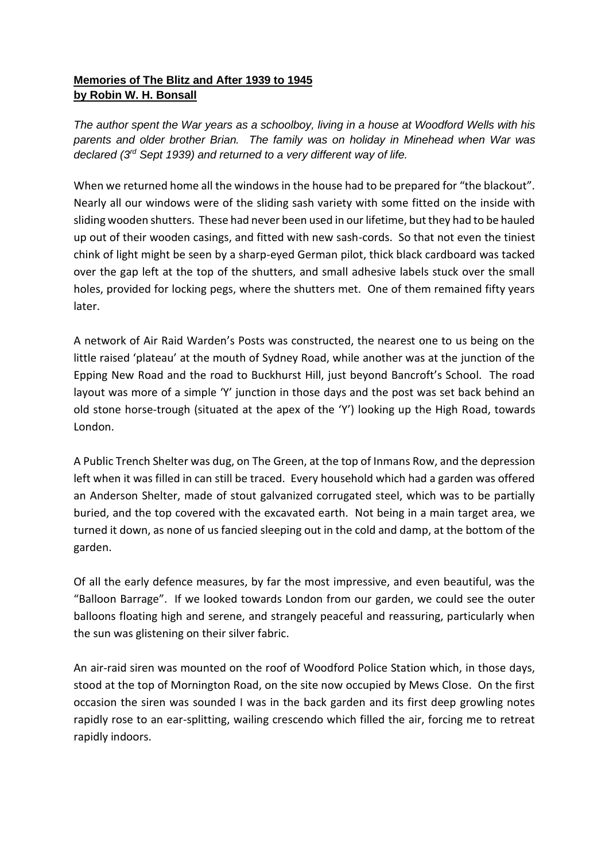## **Memories of The Blitz and After 1939 to 1945 by Robin W. H. Bonsall**

*The author spent the War years as a schoolboy, living in a house at Woodford Wells with his parents and older brother Brian. The family was on holiday in Minehead when War was declared (3rd Sept 1939) and returned to a very different way of life.*

When we returned home all the windows in the house had to be prepared for "the blackout". Nearly all our windows were of the sliding sash variety with some fitted on the inside with sliding wooden shutters. These had never been used in our lifetime, but they had to be hauled up out of their wooden casings, and fitted with new sash-cords. So that not even the tiniest chink of light might be seen by a sharp-eyed German pilot, thick black cardboard was tacked over the gap left at the top of the shutters, and small adhesive labels stuck over the small holes, provided for locking pegs, where the shutters met. One of them remained fifty years later.

A network of Air Raid Warden's Posts was constructed, the nearest one to us being on the little raised 'plateau' at the mouth of Sydney Road, while another was at the junction of the Epping New Road and the road to Buckhurst Hill, just beyond Bancroft's School. The road layout was more of a simple 'Y' junction in those days and the post was set back behind an old stone horse-trough (situated at the apex of the 'Y') looking up the High Road, towards London.

A Public Trench Shelter was dug, on The Green, at the top of Inmans Row, and the depression left when it was filled in can still be traced. Every household which had a garden was offered an Anderson Shelter, made of stout galvanized corrugated steel, which was to be partially buried, and the top covered with the excavated earth. Not being in a main target area, we turned it down, as none of us fancied sleeping out in the cold and damp, at the bottom of the garden.

Of all the early defence measures, by far the most impressive, and even beautiful, was the "Balloon Barrage". If we looked towards London from our garden, we could see the outer balloons floating high and serene, and strangely peaceful and reassuring, particularly when the sun was glistening on their silver fabric.

An air-raid siren was mounted on the roof of Woodford Police Station which, in those days, stood at the top of Mornington Road, on the site now occupied by Mews Close. On the first occasion the siren was sounded I was in the back garden and its first deep growling notes rapidly rose to an ear-splitting, wailing crescendo which filled the air, forcing me to retreat rapidly indoors.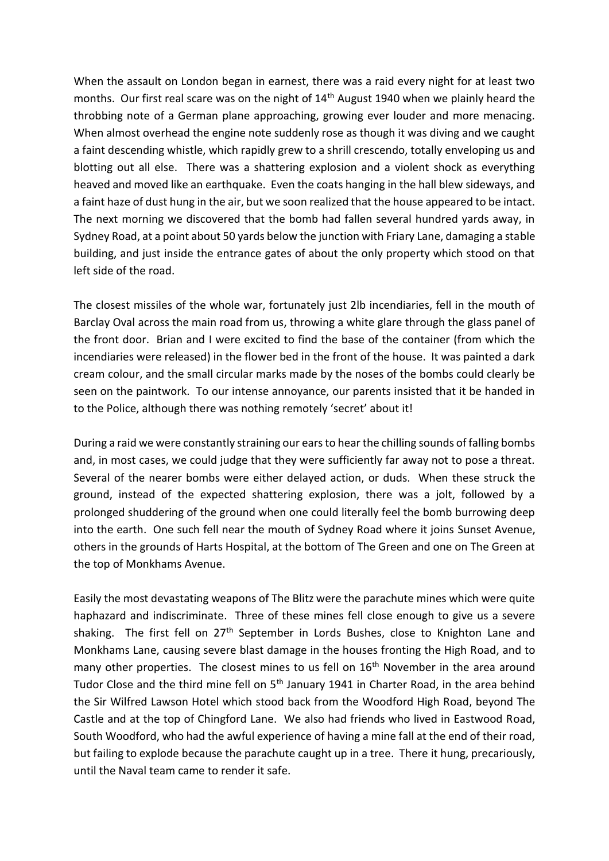When the assault on London began in earnest, there was a raid every night for at least two months. Our first real scare was on the night of 14<sup>th</sup> August 1940 when we plainly heard the throbbing note of a German plane approaching, growing ever louder and more menacing. When almost overhead the engine note suddenly rose as though it was diving and we caught a faint descending whistle, which rapidly grew to a shrill crescendo, totally enveloping us and blotting out all else. There was a shattering explosion and a violent shock as everything heaved and moved like an earthquake. Even the coats hanging in the hall blew sideways, and a faint haze of dust hung in the air, but we soon realized that the house appeared to be intact. The next morning we discovered that the bomb had fallen several hundred yards away, in Sydney Road, at a point about 50 yards below the junction with Friary Lane, damaging a stable building, and just inside the entrance gates of about the only property which stood on that left side of the road.

The closest missiles of the whole war, fortunately just 2lb incendiaries, fell in the mouth of Barclay Oval across the main road from us, throwing a white glare through the glass panel of the front door. Brian and I were excited to find the base of the container (from which the incendiaries were released) in the flower bed in the front of the house. It was painted a dark cream colour, and the small circular marks made by the noses of the bombs could clearly be seen on the paintwork. To our intense annoyance, our parents insisted that it be handed in to the Police, although there was nothing remotely 'secret' about it!

During a raid we were constantly straining our ears to hear the chilling sounds of falling bombs and, in most cases, we could judge that they were sufficiently far away not to pose a threat. Several of the nearer bombs were either delayed action, or duds. When these struck the ground, instead of the expected shattering explosion, there was a jolt, followed by a prolonged shuddering of the ground when one could literally feel the bomb burrowing deep into the earth. One such fell near the mouth of Sydney Road where it joins Sunset Avenue, others in the grounds of Harts Hospital, at the bottom of The Green and one on The Green at the top of Monkhams Avenue.

Easily the most devastating weapons of The Blitz were the parachute mines which were quite haphazard and indiscriminate. Three of these mines fell close enough to give us a severe shaking. The first fell on  $27<sup>th</sup>$  September in Lords Bushes, close to Knighton Lane and Monkhams Lane, causing severe blast damage in the houses fronting the High Road, and to many other properties. The closest mines to us fell on 16<sup>th</sup> November in the area around Tudor Close and the third mine fell on 5<sup>th</sup> January 1941 in Charter Road, in the area behind the Sir Wilfred Lawson Hotel which stood back from the Woodford High Road, beyond The Castle and at the top of Chingford Lane. We also had friends who lived in Eastwood Road, South Woodford, who had the awful experience of having a mine fall at the end of their road, but failing to explode because the parachute caught up in a tree. There it hung, precariously, until the Naval team came to render it safe.